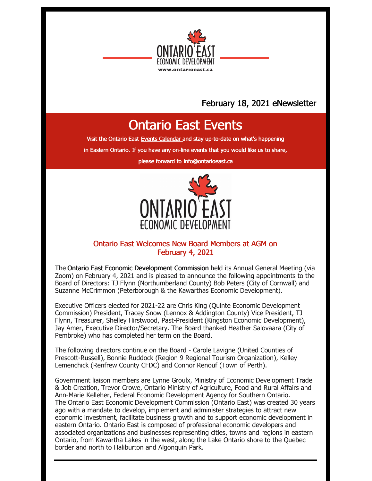

## February 18, 2021 eNewsletter

# Ontario East Events

Visit the Ontario East Events [Calendar](https://ontarioeast.ca/events) and stay up-to-date on what's happening

in Eastern Ontario. If you have any on-line events that you would like us to share,

please forward to [info@ontarioeast.ca](mailto:info@ontarioeast.ca)



### Ontario East Welcomes New Board Members at AGM on February 4, 2021

The Ontario East Economic Development Commission held its Annual General Meeting (via Zoom) on February 4, 2021 and is pleased to announce the following appointments to the Board of Directors: TJ Flynn (Northumberland County) Bob Peters (City of Cornwall) and Suzanne McCrimmon (Peterborough & the Kawarthas Economic Development).

Executive Officers elected for 2021-22 are Chris King (Quinte Economic Development Commission) President, Tracey Snow (Lennox & Addington County) Vice President, TJ Flynn, Treasurer, Shelley Hirstwood, Past-President (Kingston Economic Development), Jay Amer, Executive Director/Secretary. The Board thanked Heather Salovaara (City of Pembroke) who has completed her term on the Board.

The following directors continue on the Board - Carole Lavigne (United Counties of Prescott-Russell), Bonnie Ruddock (Region 9 Regional Tourism Organization), Kelley Lemenchick (Renfrew County CFDC) and Connor Renouf (Town of Perth).

Government liaison members are Lynne Groulx, Ministry of Economic Development Trade & Job Creation, Trevor Crowe, Ontario Ministry of Agriculture, Food and Rural Affairs and Ann-Marie Kelleher, Federal Economic Development Agency for Southern Ontario. The Ontario East Economic Development Commission (Ontario East) was created 30 years ago with a mandate to develop, implement and administer strategies to attract new economic investment, facilitate business growth and to support economic development in eastern Ontario. Ontario East is composed of professional economic developers and associated organizations and businesses representing cities, towns and regions in eastern Ontario, from Kawartha Lakes in the west, along the Lake Ontario shore to the Quebec border and north to Haliburton and Algonquin Park.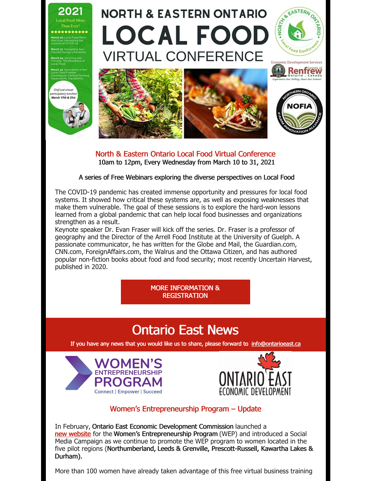

North & Eastern Ontario Local Food Virtual Conference 10am to 12pm, Every Wednesday from March 10 to 31, 2021

#### A series of Free Webinars exploring the diverse perspectives on Local Food

The COVID-19 pandemic has created immense opportunity and pressures for local food systems. It showed how critical these systems are, as well as exposing weaknesses that make them vulnerable. The goal of these sessions is to explore the hard-won lessons learned from a global pandemic that can help local food businesses and organizations strengthen as a result.

Keynote speaker Dr. Evan Fraser will kick off the series. Dr. Fraser is a professor of geography and the Director of the Arrell Food Institute at the University of Guelph. A passionate communicator, he has written for the Globe and Mail, the Guardian.com, CNN.com, ForeignAffairs.com, the Walrus and the Ottawa Citizen, and has authored popular non-fiction books about food and food security; most recently Uncertain Harvest, published in 2020.

> MORE [INFORMATION](https://ontarioeast.ca/events/north-eastern-ontario-local-food-virtual-conference) & REGISTRATION

# Ontario East News

If you have any news that you would like us to share, please forward to [info@ontarioeast.ca](mailto:info@ontarioeast.ca)





### Women's Entrepreneurship Program – Update

In February, Ontario East Economic Development Commission launched a new [website](https://offers.ontarioeast.ca/learn-about-wep?utm_campaign=Women%E2%80%99s Entrepreneurship Program&utm_content=153274438&utm_medium=social&utm_source=facebook&hss_channel=fbp-119049224783116) for the Women's Entrepreneurship Program (WEP) and introduced a Social Media Campaign as we continue to promote the WEP program to women located in the five pilot regions (Northumberland, Leeds & Grenville, Prescott-Russell, Kawartha Lakes & Durham).

More than 100 women have already taken advantage of this free virtual business training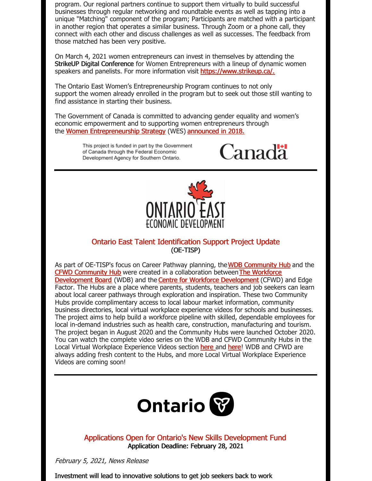program. Our regional partners continue to support them virtually to build successful businesses through regular networking and roundtable events as well as tapping into a unique "Matching" component of the program; Participants are matched with a participant in another region that operates a similar business. Through Zoom or a phone call, they connect with each other and discuss challenges as well as successes. The feedback from those matched has been very positive.

On March 4, 2021 women entrepreneurs can invest in themselves by attending the StrikeUP Digital Conference for Women Entrepreneurs with a lineup of dynamic women speakers and panelists. For more information visit [https://www.strikeup.ca/.](https://www.strikeup.ca/)

The Ontario East Women's Entrepreneurship Program continues to not only support the women already enrolled in the program but to seek out those still wanting to find assistance in starting their business.

The Government of Canada is committed to advancing gender equality and women's economic empowerment and to supporting women entrepreneurs through the Women [Entrepreneurship](https://can01.safelinks.protection.outlook.com/?url=https%3A%2F%2Fwww.ic.gc.ca%2Feic%2Fsite%2F107.nsf%2Feng%2Fhome&data=04%7C01%7Ccouplandk%40northumberlandcounty.ca%7C74b0f7f34ce64739673808d892da176f%7C86032bd5b422420487af444cbf21b0c0%7C0%7C0%7C637420812674046697%7CUnknown%7CTWFpbGZsb3d8eyJWIjoiMC4wLjAwMDAiLCJQIjoiV2luMzIiLCJBTiI6Ik1haWwiLCJXVCI6Mn0%3D%7C1000&sdata=qa2IRZ7PPbHti7HrAvkx15P1VwOniWFfSBqCqDPQuFM%3D&reserved=0) Strategy (WES) [announced](https://ontarioeast.ca/news/minister-ng-announces-women-entrepreneurship-strategy-investments) in 2018.

> This project is funded in part by the Government of Canada through the Federal Economic Development Agency for Southern Ontario.





### Ontario East Talent Identification Support Project Update (OE-TISP)

As part of OE-TISP's focus on Career Pathway planning, the WDB [Community](https://t.sidekickopen45.com/s2t/c/5/f18dQhb0S7kv8c82szVf5rhG59hl3kW7_k2842PyJyGW7wzN4k2Qx-dHW2Swb-n2bzNMtf46JSFc01?te=W3R5hFj4cm2zwW3K2-nS3M0g6sW43W93f43T4NDf2vHMx604&si=5457739056414720&pi=b57fbae9-ee33-4486-db96-2ee2128cbc2c) Hub and the CFWD [Community](https://t.sidekickopen45.com/s2t/c/5/f18dQhb0S7kv8c82szVf5rhG59hl3kW7_k2842PyJyGW7wzN4k2Qx-dHW2Swb-n2bzNMtf46JSFc01?te=W3R5hFj4cm2zwW3K2-nS3M0g6sW43W93f43T4Nfn2zPzxB1s3&si=5457739056414720&pi=b57fbae9-ee33-4486-db96-2ee2128cbc2c) Hub were created in a collaboration betweenThe Workforce [Development](https://t.sidekickopen45.com/s2t/c/5/f18dQhb0S7kv8c82szVf5rhG59hl3kW7_k2842PyJyGW7wzN4k2Qx-dHW2Swb-n2bzNMtf46JSFc01?te=W3R5hFj26QkHmw3H3vY748D2&si=5457739056414720&pi=b57fbae9-ee33-4486-db96-2ee2128cbc2c) Board (WDB) and the Centre for Workforce [Development](https://t.sidekickopen45.com/s2t/c/5/f18dQhb0S7kv8c82szVf5rhG59hl3kW7_k2842PyJyGW7wzN4k2Qx-dHW2Swb-n2bzNMtf46JSFc01?te=W3R5hFj26QkG_F3M9qDMmKTh1&si=5457739056414720&pi=b57fbae9-ee33-4486-db96-2ee2128cbc2c) (CFWD) and Edge Factor. The Hubs are a place where parents, students, teachers and job seekers can learn about local career pathways through exploration and inspiration. These two Community Hubs provide complimentary access to local labour market information, community business directories, local virtual workplace experience videos for schools and businesses. The project aims to help build a workforce pipeline with skilled, dependable employees for local in-demand industries such as health care, construction, manufacturing and tourism. The project began in August 2020 and the Community Hubs were launched October 2020. You can watch the complete video series on the WDB and CFWD Community Hubs in the Local Virtual Workplace Experience Videos section [here](https://edgefactor.com/CFWDON) and here! WDB and CFWD are always adding fresh content to the Hubs, and more Local Virtual Workplace Experience Videos are coming soon!



Applications Open for Ontario's New Skills Development Fund Application Deadline: February 28, 2021

February 5, 2021, News Release

Investment will lead to innovative solutions to get job seekers back to work